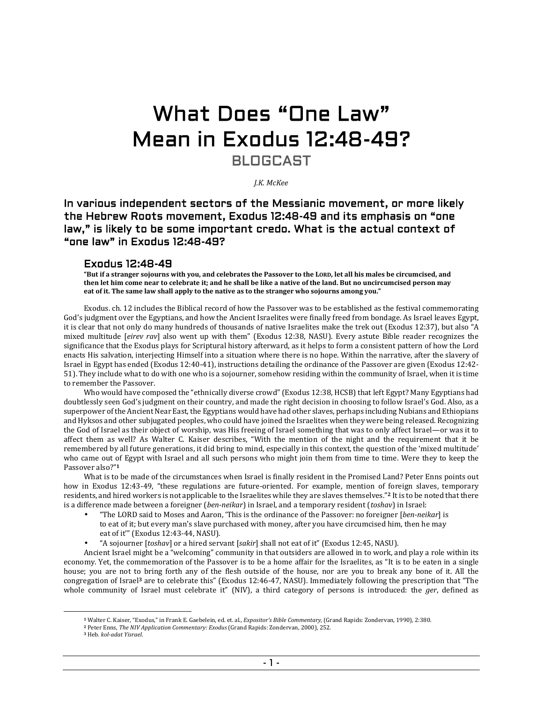## What Does "One Law" Mean in Exodus 12:48-49? BLOGCAST

*J.K. McKee* 

In various independent sectors of the Messianic movement, or more likely the Hebrew Roots movement, Exodus 12:48-49 and its emphasis on "one law," is likely to be some important credo. What is the actual context of "one law" in Exodus 12:48-49?

## Exodus 12:48-49

**"But if a stranger sojourns with you, and celebrates the Passover to the LORD, let all his males be circumcised, and then let him come near to celebrate it; and he shall be like a native of the land. But no uncircumcised person may eat of it. The same law shall apply to the native as to the stranger who sojourns among you."** 

Exodus. ch. 12 includes the Biblical record of how the Passover was to be established as the festival commemorating God's judgment over the Egyptians, and how the Ancient Israelites were finally freed from bondage. As Israel leaves Egypt, it is clear that not only do many hundreds of thousands of native Israelites make the trek out (Exodus 12:37), but also "A mixed multitude [*eirev rav*] also went up with them" (Exodus 12:38, NASU). Every astute Bible reader recognizes the significance that the Exodus plays for Scriptural history afterward, as it helps to form a consistent pattern of how the Lord enacts His salvation, interjecting Himself into a situation where there is no hope. Within the narrative, after the slavery of Israel in Egypt has ended (Exodus 12:40-41), instructions detailing the ordinance of the Passover are given (Exodus 12:42- 51). They include what to do with one who is a sojourner, somehow residing within the community of Israel, when it is time to remember the Passover.

Who would have composed the "ethnically diverse crowd" (Exodus 12:38, HCSB) that left Egypt? Many Egyptians had doubtlessly seen God's judgment on their country, and made the right decision in choosing to follow Israel's God. Also, as a superpower of the Ancient Near East, the Egyptians would have had other slaves, perhaps including Nubians and Ethiopians and Hyksos and other subjugated peoples, who could have joined the Israelites when they were being released. Recognizing the God of Israel as their object of worship, was His freeing of Israel something that was to only affect Israel—or was it to affect them as well? As Walter C. Kaiser describes, "With the mention of the night and the requirement that it be remembered by all future generations, it did bring to mind, especially in this context, the question of the 'mixed multitude' who came out of Egypt with Israel and all such persons who might join them from time to time. Were they to keep the Passover also?"**<sup>1</sup>**

What is to be made of the circumstances when Israel is finally resident in the Promised Land? Peter Enns points out how in Exodus 12:43-49, "these regulations are future-oriented. For example, mention of foreign slaves, temporary residents, and hired workers is not applicable to the Israelites while they are slaves themselves."**2** It is to be noted that there is a difference made between a foreigner (*ben-neikar*) in Israel, and a temporary resident (*toshav*) in Israel:

- "The LORD said to Moses and Aaron, 'This is the ordinance of the Passover: no foreigner [*ben-neikar*] is to eat of it; but every man's slave purchased with money, after you have circumcised him, then he may eat of it'" (Exodus 12:43-44, NASU).
- "A sojourner [*toshav*] or a hired servant [*sakir*] shall not eat of it" (Exodus 12:45, NASU).

Ancient Israel might be a "welcoming" community in that outsiders are allowed in to work, and play a role within its economy. Yet, the commemoration of the Passover is to be a home affair for the Israelites, as "It is to be eaten in a single house; you are not to bring forth any of the flesh outside of the house, nor are you to break any bone of it. All the congregation of Israel**3** are to celebrate this" (Exodus 12:46-47, NASU). Immediately following the prescription that "The whole community of Israel must celebrate it" (NIV), a third category of persons is introduced: the *ger*, defined as

**<sup>1</sup>** Walter C. Kaiser, "Exodus," in Frank E. Gaebelein, ed. et. al., *Expositor's Bible Commentary*, (Grand Rapids: Zondervan, 1990), 2:380.

**<sup>2</sup>** Peter Enns, *The NIV Application Commentary: Exodus* (Grand Rapids: Zondervan, 2000), 252.

**<sup>3</sup>** Heb. *kol-adat Yisrael*.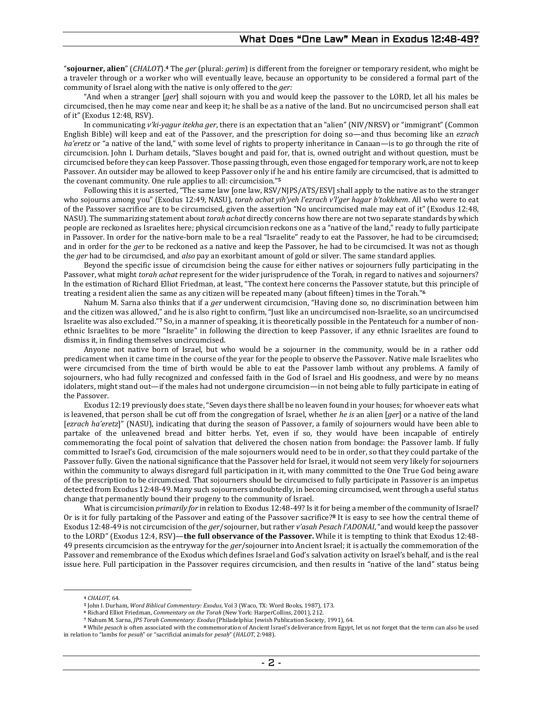"**sojourner, alien**" (*CHALOT*).**4** The *ger* (plural: *gerim*) is different from the foreigner or temporary resident, who might be a traveler through or a worker who will eventually leave, because an opportunity to be considered a formal part of the community of Israel along with the native is only offered to the *ger:* 

"And when a stranger [*ger*] shall sojourn with you and would keep the passover to the LORD, let all his males be circumcised, then he may come near and keep it; he shall be as a native of the land. But no uncircumcised person shall eat of it" (Exodus 12:48, RSV).

In communicating *v'ki-yagur itekha ger*, there is an expectation that an "alien" (NIV/NRSV) or "immigrant" (Common English Bible) will keep and eat of the Passover, and the prescription for doing so—and thus becoming like an *ezrach ha'eretz* or "a native of the land," with some level of rights to property inheritance in Canaan—is to go through the rite of circumcision. John I. Durham details, "Slaves bought and paid for, that is, owned outright and without question, must be circumcised before they can keep Passover. Those passing through, even those engaged for temporary work, are not to keep Passover. An outsider may be allowed to keep Passover only if he and his entire family are circumcised, that is admitted to the covenant community. One rule applies to all: circumcision."**<sup>5</sup>**

Following this it is asserted, "The same law [one law, RSV/NJPS/ATS/ESV] shall apply to the native as to the stranger who sojourns among you" (Exodus 12:49, NASU), *torah achat yih'yeh l'ezrach v'l'ger hagar b'tokkhem*. All who were to eat of the Passover sacrifice are to be circumcised, given the assertion "No uncircumcised male may eat of it" (Exodus 12:48, NASU). The summarizing statement about *torah achat* directly concerns how there are not two separate standards by which people are reckoned as Israelites here; physical circumcision reckons one as a "native of the land," ready to fully participate in Passover. In order for the native-born male to be a real "Israelite" ready to eat the Passover, he had to be circumcised; and in order for the *ger* to be reckoned as a native and keep the Passover, he had to be circumcised. It was not as though the *ger* had to be circumcised, and *also* pay an exorbitant amount of gold or silver. The same standard applies.

Beyond the specific issue of circumcision being the cause for either natives or sojourners fully participating in the Passover, what might *torah achat* represent for the wider jurisprudence of the Torah, in regard to natives and sojourners? In the estimation of Richard Elliot Friedman, at least, "The context here concerns the Passover statute, but this principle of treating a resident alien the same as any citizen will be repeated many (about fifteen) times in the Torah."**<sup>6</sup>**

Nahum M. Sarna also thinks that if a *ger* underwent circumcision, "Having done so, no discrimination between him and the citizen was allowed," and he is also right to confirm, "Just like an uncircumcised non-Israelite, so an uncircumcised Israelite was also excluded."**7** So, in a manner of speaking, it is theoretically possible in the Pentateuch for a number of nonethnic Israelites to be more "Israelite" in following the direction to keep Passover, if any ethnic Israelites are found to dismiss it, in finding themselves uncircumcised.

Anyone not native born of Israel, but who would be a sojourner in the community, would be in a rather odd predicament when it came time in the course of the year for the people to observe the Passover. Native male Israelites who were circumcised from the time of birth would be able to eat the Passover lamb without any problems. A family of sojourners, who had fully recognized and confessed faith in the God of Israel and His goodness, and were by no means idolaters, might stand out—if the males had not undergone circumcision—in not being able to fully participate in eating of the Passover.

Exodus 12:19 previously does state, "Seven days there shall be no leaven found in your houses; for whoever eats what is leavened, that person shall be cut off from the congregation of Israel, whether *he is* an alien [*ger*] or a native of the land [*ezrach ha'eretz*]" (NASU), indicating that during the season of Passover, a family of sojourners would have been able to partake of the unleavened bread and bitter herbs. Yet, even if so, they would have been incapable of entirely commemorating the focal point of salvation that delivered the chosen nation from bondage: the Passover lamb. If fully committed to Israel's God, circumcision of the male sojourners would need to be in order, so that they could partake of the Passover fully. Given the national significance that the Passover held for Israel, it would not seem very likely for sojourners within the community to always disregard full participation in it, with many committed to the One True God being aware of the prescription to be circumcised. That sojourners should be circumcised to fully participate in Passover is an impetus detected from Exodus 12:48-49. Many such sojourners undoubtedly, in becoming circumcised, went through a useful status change that permanently bound their progeny to the community of Israel.

What is circumcision *primarily for* in relation to Exodus 12:48-49? Is it for being a member of the community of Israel? Or is it for fully partaking of the Passover and eating of the Passover sacrifice?**8** It is easy to see how the central theme of Exodus 12:48-49 is not circumcision of the *ger*/sojourner, but rather *v'asah Pesach l'ADONAI*, "and would keep the passover to the LORD" (Exodus 12:4, RSV)—**the full observance of the Passover.** While it is tempting to think that Exodus 12:48- 49 presents circumcision as the entryway for the *ger*/sojourner into Ancient Israel; it is actually the commemoration of the Passover and remembrance of the Exodus which defines Israel and God's salvation activity on Israel's behalf, and is the real issue here. Full participation in the Passover requires circumcision, and then results in "native of the land" status being

**<sup>4</sup>** *CHALOT*, 64.

**<sup>5</sup>** John I. Durham, *Word Biblical Commentary: Exodus*, Vol 3 (Waco, TX: Word Books, 1987), 173.

**<sup>6</sup>** Richard Elliot Friedman, *Commentary on the Torah* (New York: HarperCollins, 2001), 212.

**<sup>7</sup>** Nahum M. Sarna, *JPS Torah Commentary: Exodus* (Philadelphia: Jewish Publication Society, 1991), 64.

**<sup>8</sup>** While *pesach* is often associated with the commemoration of Ancient Israel's deliverance from Egypt, let us not forget that the term can also be used in relation to "lambs for *pesaḥ*" or "sacrificial animals for *pesaḥ*" (*HALOT*, 2:948).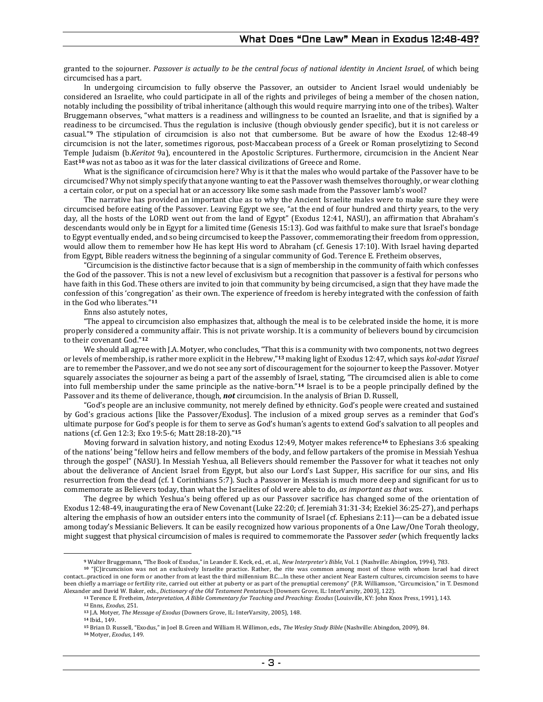granted to the sojourner. *Passover is actually to be the central focus of national identity in Ancient Israel*, of which being circumcised has a part.

In undergoing circumcision to fully observe the Passover, an outsider to Ancient Israel would undeniably be considered an Israelite, who could participate in all of the rights and privileges of being a member of the chosen nation, notably including the possibility of tribal inheritance (although this would require marrying into one of the tribes). Walter Bruggemann observes, "what matters is a readiness and willingness to be counted an Israelite, and that is signified by a readiness to be circumcised. Thus the regulation is inclusive (though obviously gender specific), but it is not careless or casual."**9** The stipulation of circumcision is also not that cumbersome. But be aware of how the Exodus 12:48-49 circumcision is not the later, sometimes rigorous, post-Maccabean process of a Greek or Roman proselytizing to Second Temple Judaism (b.*Keritot* 9a), encountered in the Apostolic Scriptures. Furthermore, circumcision in the Ancient Near East**10** was not as taboo as it was for the later classical civilizations of Greece and Rome.

What is the significance of circumcision here? Why is it that the males who would partake of the Passover have to be circumcised? Why not simply specify that anyone wanting to eat the Passover wash themselves thoroughly, or wear clothing a certain color, or put on a special hat or an accessory like some sash made from the Passover lamb's wool?

The narrative has provided an important clue as to why the Ancient Israelite males were to make sure they were circumcised before eating of the Passover. Leaving Egypt we see, "at the end of four hundred and thirty years, to the very day, all the hosts of the LORD went out from the land of Egypt" (Exodus 12:41, NASU), an affirmation that Abraham's descendants would only be in Egypt for a limited time (Genesis 15:13). God was faithful to make sure that Israel's bondage to Egypt eventually ended, and so being circumcised to keep the Passover, commemorating their freedom from oppression, would allow them to remember how He has kept His word to Abraham (cf. Genesis 17:10). With Israel having departed from Egypt, Bible readers witness the beginning of a singular community of God. Terence E. Fretheim observes,

"Circumcision is the distinctive factor because that is a sign of membership in the community of faith which confesses the God of the passover. This is not a new level of exclusivism but a recognition that passover is a festival for persons who have faith in this God. These others are invited to join that community by being circumcised, a sign that they have made the confession of this 'congregation' as their own. The experience of freedom is hereby integrated with the confession of faith in the God who liberates."**<sup>11</sup>**

Enns also astutely notes,

"The appeal to circumcision also emphasizes that, although the meal is to be celebrated inside the home, it is more properly considered a community affair. This is not private worship. It is a community of believers bound by circumcision to their covenant God."**<sup>12</sup>**

We should all agree with J.A. Motyer, who concludes, "That this is a community with two components, not two degrees or levels of membership, is rather more explicit in the Hebrew,"**13** making light of Exodus 12:47, which says *kol-adat Yisrael* are to remember the Passover, and we do not see any sort of discouragement for the sojourner to keep the Passover. Motyer squarely associates the sojourner as being a part of the assembly of Israel, stating, "The circumcised alien is able to come into full membership under the same principle as the native-born."**14** Israel is to be a people principally defined by the Passover and its theme of deliverance, though, *not* circumcision. In the analysis of Brian D. Russell,

"God's people are an inclusive community, not merely defined by ethnicity. God's people were created and sustained by God's gracious actions [like the Passover/Exodus]. The inclusion of a mixed group serves as a reminder that God's ultimate purpose for God's people is for them to serve as God's human's agents to extend God's salvation to all peoples and nations (cf. Gen 12:3; Exo 19:5-6; Matt 28:18-20)."**<sup>15</sup>**

Moving forward in salvation history, and noting Exodus 12:49, Motyer makes reference**16** to Ephesians 3:6 speaking of the nations' being "fellow heirs and fellow members of the body, and fellow partakers of the promise in Messiah Yeshua through the gospel" (NASU). In Messiah Yeshua, all Believers should remember the Passover for what it teaches not only about the deliverance of Ancient Israel from Egypt, but also our Lord's Last Supper, His sacrifice for our sins, and His resurrection from the dead (cf. 1 Corinthians 5:7). Such a Passover in Messiah is much more deep and significant for us to commemorate as Believers today, than what the Israelites of old were able to do, *as important as that was.*

The degree by which Yeshua's being offered up as our Passover sacrifice has changed some of the orientation of Exodus 12:48-49, inaugurating the era of New Covenant (Luke 22:20; cf. Jeremiah 31:31-34; Ezekiel 36:25-27), and perhaps altering the emphasis of how an outsider enters into the community of Israel (cf. Ephesians 2:11)—can be a debated issue among today's Messianic Believers. It can be easily recognized how various proponents of a One Law/One Torah theology, might suggest that physical circumcision of males is required to commemorate the Passover *seder* (which frequently lacks

**<sup>9</sup>** Walter Bruggemann, "The Book of Exodus," in Leander E. Keck, ed., et. al., *New Interpreter's Bible*, Vol. 1 (Nashville: Abingdon, 1994), 783.

**<sup>10</sup>** "[C]ircumcision was not an exclusively Israelite practice. Rather, the rite was common among most of those with whom Israel had direct contact...practiced in one form or another from at least the third millennium B.C....In these other ancient Near Eastern cultures, circumcision seems to have been chiefly a marriage or fertility rite, carried out either at puberty or as part of the prenuptial ceremony" (P.R. Williamson, "Circumcision," in T. Desmond Alexander and David W. Baker, eds., *Dictionary of the Old Testament Pentateuch* [Downers Grove, IL: InterVarsity, 2003], 122).

**<sup>11</sup>** Terence E. Fretheim, *Interpretation, A Bible Commentary for Teaching and Preaching: Exodus* (Louisville, KY: John Knox Press, 1991), 143.

**<sup>12</sup>** Enns, *Exodus*, 251.

**<sup>13</sup>** J.A. Motyer, *The Message of Exodus* (Downers Grove, IL: InterVarsity, 2005), 148.

**<sup>14</sup>** Ibid., 149.

**<sup>15</sup>** Brian D. Russell, "Exodus," in Joel B. Green and William H. Willimon, eds., *The Wesley Study Bible* (Nashville: Abingdon, 2009), 84.

**<sup>16</sup>** Motyer, *Exodus*, 149.